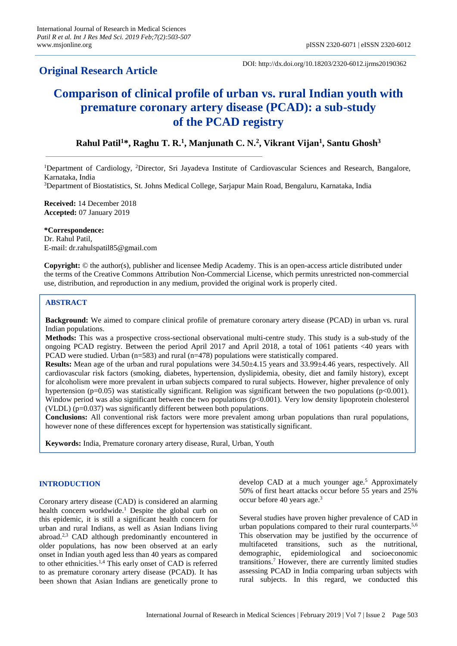# **Original Research Article**

DOI: http://dx.doi.org/10.18203/2320-6012.ijrms20190362

# **Comparison of clinical profile of urban vs. rural Indian youth with premature coronary artery disease (PCAD): a sub-study of the PCAD registry**

# **Rahul Patil<sup>1</sup>\*, Raghu T. R.<sup>1</sup> , Manjunath C. N.<sup>2</sup> , Vikrant Vijan<sup>1</sup> , Santu Ghosh<sup>3</sup>**

<sup>1</sup>Department of Cardiology, <sup>2</sup>Director, Sri Jayadeva Institute of Cardiovascular Sciences and Research, Bangalore, Karnataka, India

<sup>3</sup>Department of Biostatistics, St. Johns Medical College, Sarjapur Main Road, Bengaluru, Karnataka, India

**Received:** 14 December 2018 **Accepted:** 07 January 2019

**\*Correspondence:**

Dr. Rahul Patil, E-mail: dr.rahulspatil85@gmail.com

**Copyright:** © the author(s), publisher and licensee Medip Academy. This is an open-access article distributed under the terms of the Creative Commons Attribution Non-Commercial License, which permits unrestricted non-commercial use, distribution, and reproduction in any medium, provided the original work is properly cited.

## **ABSTRACT**

**Background:** We aimed to compare clinical profile of premature coronary artery disease (PCAD) in urban vs. rural Indian populations.

**Methods:** This was a prospective cross-sectional observational multi-centre study. This study is a sub-study of the ongoing PCAD registry. Between the period April 2017 and April 2018, a total of 1061 patients <40 years with PCAD were studied. Urban (n=583) and rural (n=478) populations were statistically compared.

**Results:** Mean age of the urban and rural populations were 34.50±4.15 years and 33.99±4.46 years, respectively. All cardiovascular risk factors (smoking, diabetes, hypertension, dyslipidemia, obesity, diet and family history), except for alcoholism were more prevalent in urban subjects compared to rural subjects. However, higher prevalence of only hypertension (p=0.05) was statistically significant. Religion was significant between the two populations (p<0.001). Window period was also significant between the two populations (p<0.001). Very low density lipoprotein cholesterol (VLDL) (p=0.037) was significantly different between both populations.

**Conclusions:** All conventional risk factors were more prevalent among urban populations than rural populations, however none of these differences except for hypertension was statistically significant.

**Keywords:** India, Premature coronary artery disease, Rural, Urban, Youth

# **INTRODUCTION**

Coronary artery disease (CAD) is considered an alarming health concern worldwide.<sup>1</sup> Despite the global curb on this epidemic, it is still a significant health concern for urban and rural Indians, as well as Asian Indians living abroad.<sup>2,3</sup> CAD although predominantly encountered in older populations, has now been observed at an early onset in Indian youth aged less than 40 years as compared to other ethnicities.<sup>1,4</sup> This early onset of CAD is referred to as premature coronary artery disease (PCAD). It has been shown that Asian Indians are genetically prone to

develop CAD at a much younger age. <sup>5</sup> Approximately 50% of first heart attacks occur before 55 years and 25% occur before 40 years age. 3

Several studies have proven higher prevalence of CAD in urban populations compared to their rural counterparts.<sup>5,6</sup> This observation may be justified by the occurrence of multifaceted transitions, such as the nutritional, demographic, epidemiological and socioeconomic transitions. <sup>7</sup> However, there are currently limited studies assessing PCAD in India comparing urban subjects with rural subjects. In this regard, we conducted this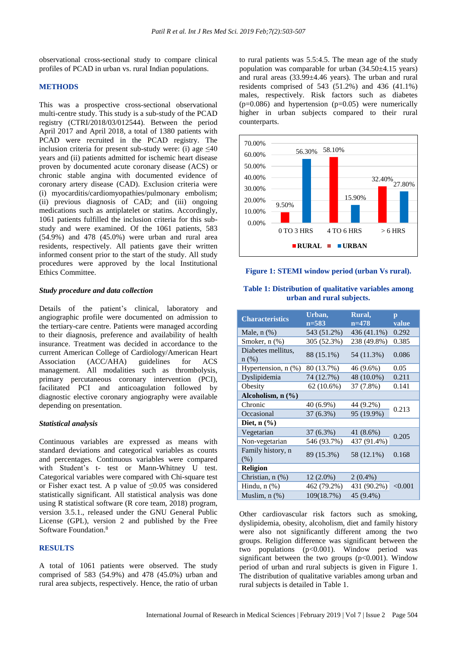observational cross-sectional study to compare clinical profiles of PCAD in urban vs. rural Indian populations.

#### **METHODS**

This was a prospective cross-sectional observational multi-centre study. This study is a sub-study of the PCAD registry (CTRI/2018/03/012544). Between the period April 2017 and April 2018, a total of 1380 patients with PCAD were recruited in the PCAD registry. The inclusion criteria for present sub-study were: (i) age  $\leq 40$ years and (ii) patients admitted for ischemic heart disease proven by documented acute coronary disease (ACS) or chronic stable angina with documented evidence of coronary artery disease (CAD). Exclusion criteria were (i) myocarditis/cardiomyopathies/pulmonary embolism; (ii) previous diagnosis of CAD; and (iii) ongoing medications such as antiplatelet or statins. Accordingly, 1061 patients fulfilled the inclusion criteria for this substudy and were examined. Of the 1061 patients, 583 (54.9%) and 478 (45.0%) were urban and rural area residents, respectively. All patients gave their written informed consent prior to the start of the study. All study procedures were approved by the local Institutional Ethics Committee.

#### *Study procedure and data collection*

Details of the patient's clinical, laboratory and angiographic profile were documented on admission to the tertiary-care centre. Patients were managed according to their diagnosis, preference and availability of health insurance. Treatment was decided in accordance to the current American College of Cardiology/American Heart Association (ACC/AHA) guidelines for ACS management. All modalities such as thrombolysis, primary percutaneous coronary intervention (PCI), facilitated PCI and anticoagulation followed by diagnostic elective coronary angiography were available depending on presentation.

#### *Statistical analysis*

Continuous variables are expressed as means with standard deviations and categorical variables as counts and percentages. Continuous variables were compared with Student's t- test or Mann-Whitney U test. Categorical variables were compared with Chi-square test or Fisher exact test. A p value of  $\leq 0.05$  was considered statistically significant. All statistical analysis was done using R statistical software (R core team, 2018) program, version 3.5.1., released under the GNU General Public License (GPL), version 2 and published by the Free Software Foundation. 8

#### **RESULTS**

A total of 1061 patients were observed. The study comprised of 583 (54.9%) and 478 (45.0%) urban and rural area subjects, respectively. Hence, the ratio of urban to rural patients was 5.5:4.5. The mean age of the study population was comparable for urban (34.50±4.15 years) and rural areas (33.99±4.46 years). The urban and rural residents comprised of 543 (51.2%) and 436 (41.1%) males, respectively. Risk factors such as diabetes  $(p=0.086)$  and hypertension  $(p=0.05)$  were numerically higher in urban subjects compared to their rural counterparts.



#### **Figure 1: STEMI window period (urban Vs rural).**

#### **Table 1: Distribution of qualitative variables among urban and rural subjects.**

| <b>Characteristics</b>               | Urban,<br>$n = 583$ | Rural,<br>$n=478$ | $\mathbf{p}$<br>value |
|--------------------------------------|---------------------|-------------------|-----------------------|
| Male, $n$ $(\%)$                     | 543 (51.2%)         | 436 (41.1%)       | 0.292                 |
| Smoker, n (%)                        | 305 (52.3%)         | 238 (49.8%)       | 0.385                 |
| Diabetes mellitus,<br>$n$ (%)        | 88 (15.1%)          | 54 (11.3%)        | 0.086                 |
| Hypertension, n (%)                  | 80 (13.7%)          | 46 (9.6%)         | 0.05                  |
| Dyslipidemia                         | 74 (12.7%)          | 48 (10.0%)        | 0.211                 |
| Obesity                              | 62 (10.6%)          | 37 (7.8%)         | 0.141                 |
| Alcoholism, $n$ $(\%)$               |                     |                   |                       |
| Chronic                              | 40 (6.9%)           | 44 (9.2%)         | 0.213                 |
| Occasional                           | $37(6.3\%)$         | 95 (19.9%)        |                       |
| Diet, $n$ $\left(\frac{9}{6}\right)$ |                     |                   |                       |
| Vegetarian                           | 37 (6.3%)           | 41 (8.6%)         | 0.205                 |
| Non-vegetarian                       | 546 (93.7%)         | 437 (91.4%)       |                       |
| Family history, n<br>(% )            | 89 (15.3%)          | 58 (12.1%)        | 0.168                 |
| <b>Religion</b>                      |                     |                   |                       |
| Christian, n (%)                     | $12(2.0\%)$         | $2(0.4\%)$        |                       |
| Hindu, $n$ $(\%)$                    | 462 (79.2%)         | 431 (90.2%)       | < 0.001               |
| Muslim, $n$ $(\%)$                   | 109(18.7%)          | 45 (9.4%)         |                       |

Other cardiovascular risk factors such as smoking, dyslipidemia, obesity, alcoholism, diet and family history were also not significantly different among the two groups. Religion difference was significant between the two populations (p<0.001). Window period was significant between the two groups  $(p<0.001)$ . Window period of urban and rural subjects is given in Figure 1. The distribution of qualitative variables among urban and rural subjects is detailed in Table 1.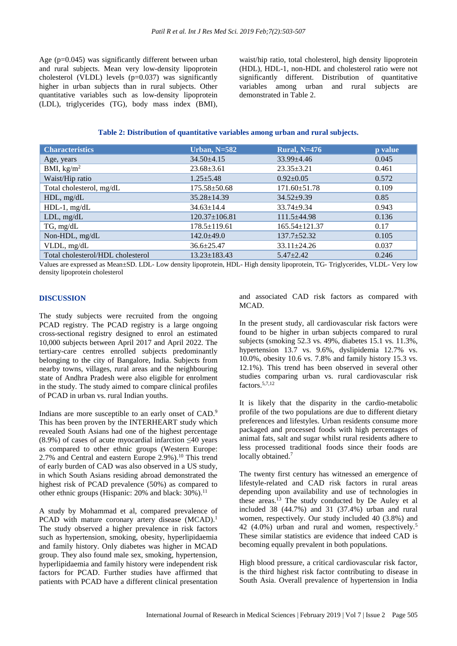Age (p=0.045) was significantly different between urban and rural subjects. Mean very low-density lipoprotein cholesterol (VLDL) levels (p=0.037) was significantly higher in urban subjects than in rural subjects. Other quantitative variables such as low-density lipoprotein (LDL), triglycerides (TG), body mass index (BMI), waist/hip ratio, total cholesterol, high density lipoprotein (HDL), HDL-1, non-HDL and cholesterol ratio were not significantly different. Distribution of quantitative variables among urban and rural subjects are demonstrated in Table 2.

#### **Table 2: Distribution of quantitative variables among urban and rural subjects.**

| <b>Characteristics</b>            | Urban, $N=582$      | <b>Rural, N=476</b> | p value |
|-----------------------------------|---------------------|---------------------|---------|
| Age, years                        | $34.50 \pm 4.15$    | $33.99 \pm 4.46$    | 0.045   |
| BMI, $\text{kg/m}^2$              | $23.68 \pm 3.61$    | $23.35 \pm 3.21$    | 0.461   |
| Waist/Hip ratio                   | $1.25 \pm 5.48$     | $0.92 \pm 0.05$     | 0.572   |
| Total cholesterol, mg/dL          | $175.58 \pm 50.68$  | $171.60 \pm 51.78$  | 0.109   |
| HDL, mg/dL                        | $35.28 \pm 14.39$   | $34.52+9.39$        | 0.85    |
| $HDL-1$ , mg/dL                   | $34.63 \pm 14.4$    | $33.74 \pm 9.34$    | 0.943   |
| $LDL$ , mg/d $L$                  | $120.37 \pm 106.81$ | $111.5 \pm 44.98$   | 0.136   |
| TG, mg/dL                         | $178.5 \pm 119.61$  | $165.54 \pm 121.37$ | 0.17    |
| Non-HDL, mg/dL                    | $142.0 \pm 49.0$    | $137.7 + 52.32$     | 0.105   |
| VLDL, mg/dL                       | $36.6 \pm 25.47$    | $33.11 \pm 24.26$   | 0.037   |
| Total cholesterol/HDL cholesterol | $13.23 \pm 183.43$  | $5.47 + 2.42$       | 0.246   |

Values are expressed as Mean±SD. LDL- Low density lipoprotein, HDL- High density lipoprotein, TG- Triglycerides, VLDL- Very low density lipoprotein cholesterol

#### **DISCUSSION**

The study subjects were recruited from the ongoing PCAD registry. The PCAD registry is a large ongoing cross-sectional registry designed to enrol an estimated 10,000 subjects between April 2017 and April 2022. The tertiary-care centres enrolled subjects predominantly belonging to the city of Bangalore, India. Subjects from nearby towns, villages, rural areas and the neighbouring state of Andhra Pradesh were also eligible for enrolment in the study. The study aimed to compare clinical profiles of PCAD in urban vs. rural Indian youths.

Indians are more susceptible to an early onset of CAD.<sup>9</sup> This has been proven by the INTERHEART study which revealed South Asians had one of the highest percentage  $(8.9\%)$  of cases of acute myocardial infarction  $\leq 40$  years as compared to other ethnic groups (Western Europe: 2.7% and Central and eastern Europe 2.9%).<sup>10</sup> This trend of early burden of CAD was also observed in a US study, in which South Asians residing abroad demonstrated the highest risk of PCAD prevalence (50%) as compared to other ethnic groups (Hispanic: 20% and black: 30%).<sup>11</sup>

A study by Mohammad et al, compared prevalence of PCAD with mature coronary artery disease (MCAD).<sup>1</sup> The study observed a higher prevalence in risk factors such as hypertension, smoking, obesity, hyperlipidaemia and family history. Only diabetes was higher in MCAD group. They also found male sex, smoking, hypertension, hyperlipidaemia and family history were independent risk factors for PCAD. Further studies have affirmed that patients with PCAD have a different clinical presentation

and associated CAD risk factors as compared with MCAD.

In the present study, all cardiovascular risk factors were found to be higher in urban subjects compared to rural subjects (smoking 52.3 vs. 49%, diabetes 15.1 vs. 11.3%, hypertension 13.7 vs. 9.6%, dyslipidemia 12.7% vs. 10.0%, obesity 10.6 vs. 7.8% and family history 15.3 vs. 12.1%). This trend has been observed in several other studies comparing urban vs. rural cardiovascular risk factors. 5,7,12

It is likely that the disparity in the cardio-metabolic profile of the two populations are due to different dietary preferences and lifestyles. Urban residents consume more packaged and processed foods with high percentages of animal fats, salt and sugar whilst rural residents adhere to less processed traditional foods since their foods are locally obtained.<sup>7</sup>

The twenty first century has witnessed an emergence of lifestyle-related and CAD risk factors in rural areas depending upon availability and use of technologies in these areas. <sup>13</sup> The study conducted by De Auley et al included 38 (44.7%) and 31 (37.4%) urban and rural women, respectively. Our study included 40 (3.8%) and 42 (4.0%) urban and rural and women, respectively.<sup>5</sup> These similar statistics are evidence that indeed CAD is becoming equally prevalent in both populations.

High blood pressure, a critical cardiovascular risk factor, is the third highest risk factor contributing to disease in South Asia. Overall prevalence of hypertension in India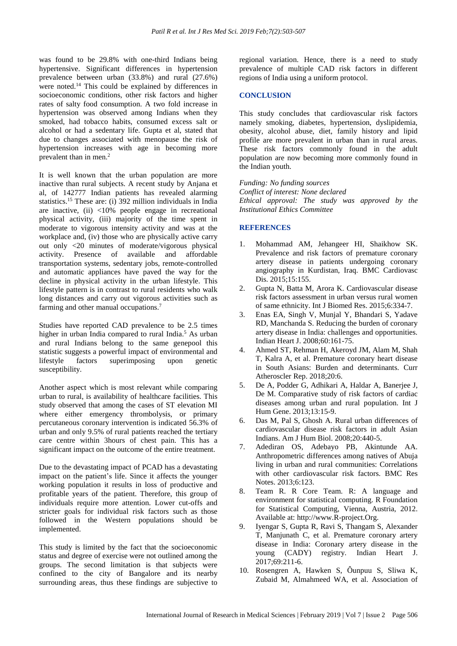was found to be 29.8% with one-third Indians being hypertensive. Significant differences in hypertension prevalence between urban (33.8%) and rural (27.6%) were noted.<sup>14</sup> This could be explained by differences in socioeconomic conditions, other risk factors and higher rates of salty food consumption. A two fold increase in hypertension was observed among Indians when they smoked, had tobacco habits, consumed excess salt or alcohol or had a sedentary life. Gupta et al, stated that due to changes associated with menopause the risk of hypertension increases with age in becoming more prevalent than in men. $<sup>2</sup>$ </sup>

It is well known that the urban population are more inactive than rural subjects. A recent study by Anjana et al, of 142777 Indian patients has revealed alarming statistics.<sup>15</sup> These are: (i) 392 million individuals in India are inactive, (ii) <10% people engage in recreational physical activity, (iii) majority of the time spent in moderate to vigorous intensity activity and was at the workplace and, (iv) those who are physically active carry out only <20 minutes of moderate/vigorous physical activity. Presence of available and affordable transportation systems, sedentary jobs, remote-controlled and automatic appliances have paved the way for the decline in physical activity in the urban lifestyle. This lifestyle pattern is in contrast to rural residents who walk long distances and carry out vigorous activities such as farming and other manual occupations.<sup>7</sup>

Studies have reported CAD prevalence to be 2.5 times higher in urban India compared to rural India. <sup>5</sup> As urban and rural Indians belong to the same genepool this statistic suggests a powerful impact of environmental and lifestyle factors superimposing upon genetic susceptibility.

Another aspect which is most relevant while comparing urban to rural, is availability of healthcare facilities. This study observed that among the cases of ST elevation MI where either emergency thrombolysis, or primary percutaneous coronary intervention is indicated 56.3% of urban and only 9.5% of rural patients reached the tertiary care centre within 3hours of chest pain. This has a significant impact on the outcome of the entire treatment.

Due to the devastating impact of PCAD has a devastating impact on the patient's life. Since it affects the younger working population it results in loss of productive and profitable years of the patient. Therefore, this group of individuals require more attention. Lower cut-offs and stricter goals for individual risk factors such as those followed in the Western populations should be implemented.

This study is limited by the fact that the socioeconomic status and degree of exercise were not outlined among the groups. The second limitation is that subjects were confined to the city of Bangalore and its nearby surrounding areas, thus these findings are subjective to regional variation. Hence, there is a need to study prevalence of multiple CAD risk factors in different regions of India using a uniform protocol.

### **CONCLUSION**

This study concludes that cardiovascular risk factors namely smoking, diabetes, hypertension, dyslipidemia, obesity, alcohol abuse, diet, family history and lipid profile are more prevalent in urban than in rural areas. These risk factors commonly found in the adult population are now becoming more commonly found in the Indian youth.

*Funding: No funding sources Conflict of interest: None declared Ethical approval: The study was approved by the Institutional Ethics Committee*

## **REFERENCES**

- 1. Mohammad AM, Jehangeer HI, Shaikhow SK. Prevalence and risk factors of premature coronary artery disease in patients undergoing coronary angiography in Kurdistan, Iraq. BMC Cardiovasc Dis. 2015;15:155.
- 2. Gupta N, Batta M, Arora K. Cardiovascular disease risk factors assessment in urban versus rural women of same ethnicity. Int J Biomed Res. 2015;6:334-7.
- 3. Enas EA, Singh V, Munjal Y, Bhandari S, Yadave RD, Manchanda S. Reducing the burden of coronary artery disease in India: challenges and opportunities. Indian Heart J. 2008;60:161-75.
- 4. Ahmed ST, Rehman H, Akeroyd JM, Alam M, Shah T, Kalra A, et al. Premature coronary heart disease in South Asians: Burden and determinants. Curr Atheroscler Rep. 2018;20:6.
- 5. De A, Podder G, Adhikari A, Haldar A, Banerjee J, De M. Comparative study of risk factors of cardiac diseases among urban and rural population. Int J Hum Gene. 2013;13:15-9.
- 6. Das M, Pal S, Ghosh A. Rural urban differences of cardiovascular disease risk factors in adult Asian Indians. Am J Hum Biol. 2008;20:440-5.
- 7. Adediran OS, Adebayo PB, Akintunde AA. Anthropometric differences among natives of Abuja living in urban and rural communities: Correlations with other cardiovascular risk factors. BMC Res Notes. 2013;6:123.
- 8. Team R. R Core Team. R: A language and environment for statistical computing. R Foundation for Statistical Computing, Vienna, Austria, 2012. Available at: http://www.R-project.Org.
- 9. Iyengar S, Gupta R, Ravi S, Thangam S, Alexander T, Manjunath C, et al. Premature coronary artery disease in India: Coronary artery disease in the young (CADY) registry. Indian Heart J. 2017;69:211-6.
- 10. Rosengren A, Hawken S, Ôunpuu S, Sliwa K, Zubaid M, Almahmeed WA, et al. Association of